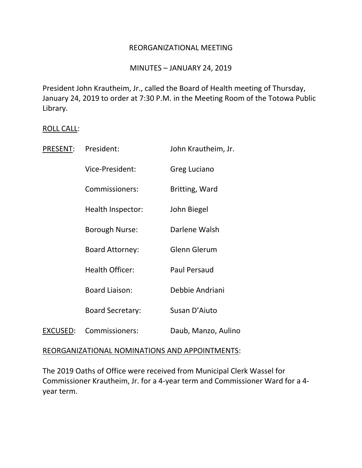## REORGANIZATIONAL MEETING

## MINUTES – JANUARY 24, 2019

President John Krautheim, Jr., called the Board of Health meeting of Thursday, January 24, 2019 to order at 7:30 P.M. in the Meeting Room of the Totowa Public Library.

#### ROLL CALL:

| PRESENT: | President:              | John Krautheim, Jr. |
|----------|-------------------------|---------------------|
|          | Vice-President:         | Greg Luciano        |
|          | Commissioners:          | Britting, Ward      |
|          | Health Inspector:       | John Biegel         |
|          | Borough Nurse:          | Darlene Walsh       |
|          | <b>Board Attorney:</b>  | <b>Glenn Glerum</b> |
|          | <b>Health Officer:</b>  | <b>Paul Persaud</b> |
|          | <b>Board Liaison:</b>   | Debbie Andriani     |
|          | <b>Board Secretary:</b> | Susan D'Aiuto       |
| EXCUSED: | Commissioners:          | Daub, Manzo, Aulino |

### REORGANIZATIONAL NOMINATIONS AND APPOINTMENTS:

The 2019 Oaths of Office were received from Municipal Clerk Wassel for Commissioner Krautheim, Jr. for a 4-year term and Commissioner Ward for a 4 year term.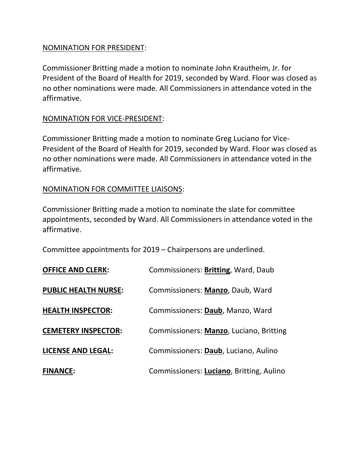## NOMINATION FOR PRESIDENT:

Commissioner Britting made a motion to nominate John Krautheim, Jr. for President of the Board of Health for 2019, seconded by Ward. Floor was closed as no other nominations were made. All Commissioners in attendance voted in the affirmative.

# NOMINATION FOR VICE-PRESIDENT:

Commissioner Britting made a motion to nominate Greg Luciano for Vice-President of the Board of Health for 2019, seconded by Ward. Floor was closed as no other nominations were made. All Commissioners in attendance voted in the affirmative.

# NOMINATION FOR COMMITTEE LIAISONS:

Commissioner Britting made a motion to nominate the slate for committee appointments, seconded by Ward. All Commissioners in attendance voted in the affirmative.

Committee appointments for 2019 – Chairpersons are underlined.

| <b>OFFICE AND CLERK:</b>    | Commissioners: Britting, Ward, Daub      |
|-----------------------------|------------------------------------------|
| <b>PUBLIC HEALTH NURSE:</b> | Commissioners: Manzo, Daub, Ward         |
| <b>HEALTH INSPECTOR:</b>    | Commissioners: Daub, Manzo, Ward         |
| <b>CEMETERY INSPECTOR:</b>  | Commissioners: Manzo, Luciano, Britting  |
| <b>LICENSE AND LEGAL:</b>   | Commissioners: Daub, Luciano, Aulino     |
| <b>FINANCE:</b>             | Commissioners: Luciano, Britting, Aulino |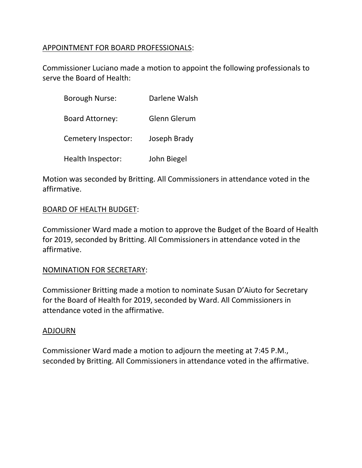# APPOINTMENT FOR BOARD PROFESSIONALS:

Commissioner Luciano made a motion to appoint the following professionals to serve the Board of Health:

| <b>Borough Nurse:</b>  | Darlene Walsh |
|------------------------|---------------|
| <b>Board Attorney:</b> | Glenn Glerum  |
| Cemetery Inspector:    | Joseph Brady  |
| Health Inspector:      | John Biegel   |

Motion was seconded by Britting. All Commissioners in attendance voted in the affirmative.

## BOARD OF HEALTH BUDGET:

Commissioner Ward made a motion to approve the Budget of the Board of Health for 2019, seconded by Britting. All Commissioners in attendance voted in the affirmative.

### NOMINATION FOR SECRETARY:

Commissioner Britting made a motion to nominate Susan D'Aiuto for Secretary for the Board of Health for 2019, seconded by Ward. All Commissioners in attendance voted in the affirmative.

### ADJOURN

Commissioner Ward made a motion to adjourn the meeting at 7:45 P.M., seconded by Britting. All Commissioners in attendance voted in the affirmative.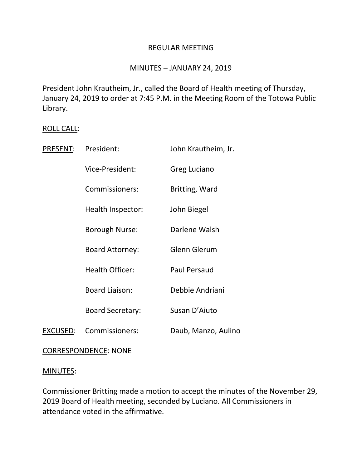## REGULAR MEETING

## MINUTES – JANUARY 24, 2019

President John Krautheim, Jr., called the Board of Health meeting of Thursday, January 24, 2019 to order at 7:45 P.M. in the Meeting Room of the Totowa Public Library.

## ROLL CALL:

| PRESENT: | President:              | John Krautheim, Jr. |
|----------|-------------------------|---------------------|
|          | Vice-President:         | Greg Luciano        |
|          | Commissioners:          | Britting, Ward      |
|          | Health Inspector:       | John Biegel         |
|          | <b>Borough Nurse:</b>   | Darlene Walsh       |
|          | <b>Board Attorney:</b>  | Glenn Glerum        |
|          | <b>Health Officer:</b>  | <b>Paul Persaud</b> |
|          | <b>Board Liaison:</b>   | Debbie Andriani     |
|          | <b>Board Secretary:</b> | Susan D'Aiuto       |
| EXCUSED: | Commissioners:          | Daub, Manzo, Aulino |

### CORRESPONDENCE: NONE

### MINUTES:

Commissioner Britting made a motion to accept the minutes of the November 29, 2019 Board of Health meeting, seconded by Luciano. All Commissioners in attendance voted in the affirmative.